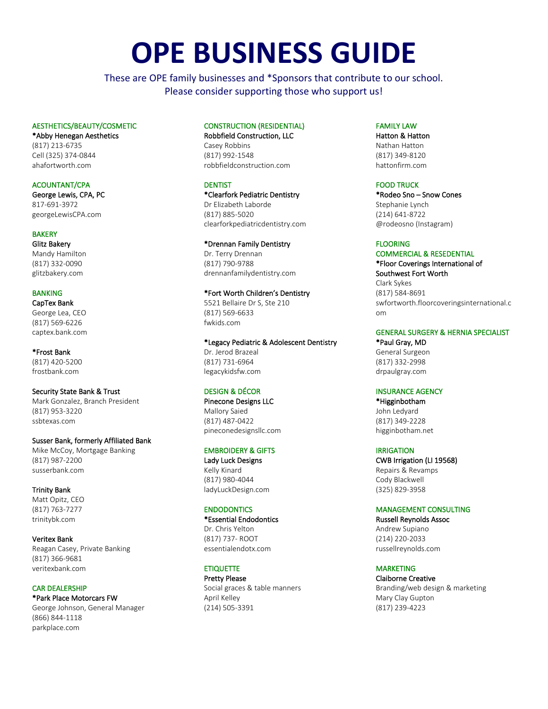# **OPE BUSINESS GUIDE**

These are OPE family businesses and \*Sponsors that contribute to our school. Please consider supporting those who support us!

# AESTHETICS/BEAUTY/COSMETIC

\*Abby Henegan Aesthetics (817) 213-6735 Cell (325) 374-0844 ahafortworth.com

# ACOUNTANT/CPA

George Lewis, CPA, PC 817-691-3972 georgeLewisCPA.com

**BAKERY** Glitz Bakery Mandy Hamilton (817) 332-0090 glitzbakery.com

## BANKING

CapTex Bank George Lea, CEO (817) 569-6226 captex.bank.com

\*Frost Bank (817) 420-5200 frostbank.com

Security State Bank & Trust Mark Gonzalez, Branch President (817) 953-3220 ssbtexas.com

## Susser Bank, formerly Affiliated Bank

Mike McCoy, Mortgage Banking (817) 987-2200 susserbank.com

Trinity Bank Matt Opitz, CEO (817) 763-7277 trinitybk.com

Veritex Bank Reagan Casey, Private Banking (817) 366-9681 veritexbank.com

CAR DEALERSHIP \*Park Place Motorcars FW George Johnson, General Manager (866) 844-1118 parkplace.com

# CONSTRUCTION (RESIDENTIAL)

Robbfield Construction, LLC Casey Robbins (817) 992-1548 robbfieldconstruction.com

# **DENTIST**

\*Clearfork Pediatric Dentistry Dr Elizabeth Laborde

(817) 885-5020 clearforkpediatricdentistry.com

## \*Drennan Family Dentistry

Dr. Terry Drennan (817) 790-9788 drennanfamilydentistry.com

## \*Fort Worth Children's Dentistry

5521 Bellaire Dr S, Ste 210 (817) 569-6633 fwkids.com

\*Legacy Pediatric & Adolescent Dentistry

Dr. Jerod Brazeal (817) 731-6964 legacykidsfw.com

# DESIGN & DÉCOR

Pinecone Designs LLC Mallory Saied (817) 487-0422 pineconedesignsllc.com

## EMBROIDERY & GIFTS

Lady Luck Designs Kelly Kinard (817) 980-4044 ladyLuckDesign.com

# **ENDODONTICS**

\*Essential Endodontics Dr. Chris Yelton (817) 737- ROOT essentialendotx.com

# **ETIQUETTE**

Pretty Please Social graces & table manners April Kelley (214) 505-3391

# FAMILY LAW

Hatton & Hatton Nathan Hatton (817) 349-8120 hattonfirm.com

## FOOD TRUCK

\*Rodeo Sno – Snow Cones Stephanie Lynch (214) 641-8722 @rodeosno (Instagram)

#### FLOORING

COMMERCIAL & RESEDENTIAL \*Floor Coverings International of Southwest Fort Worth Clark Sykes (817) 584-8691 swfortworth.floorcoveringsinternational.c om

## GENERAL SURGERY & HERNIA SPECIALIST

\*Paul Gray, MD General Surgeon (817) 332-2998 drpaulgray.com

## INSURANCE AGENCY

\*Higginbotham John Ledyard (817) 349-2228 higginbotham.net

## IRRIGATION

CWB Irrigation (LI 19568) Repairs & Revamps Cody Blackwell (325) 829-3958

# MANAGEMENT CONSULTING

Russell Reynolds Assoc Andrew Supiano (214) 220-2033 russellreynolds.com

# MARKETING

Claiborne Creative Branding/web design & marketing Mary Clay Gupton (817) 239-4223